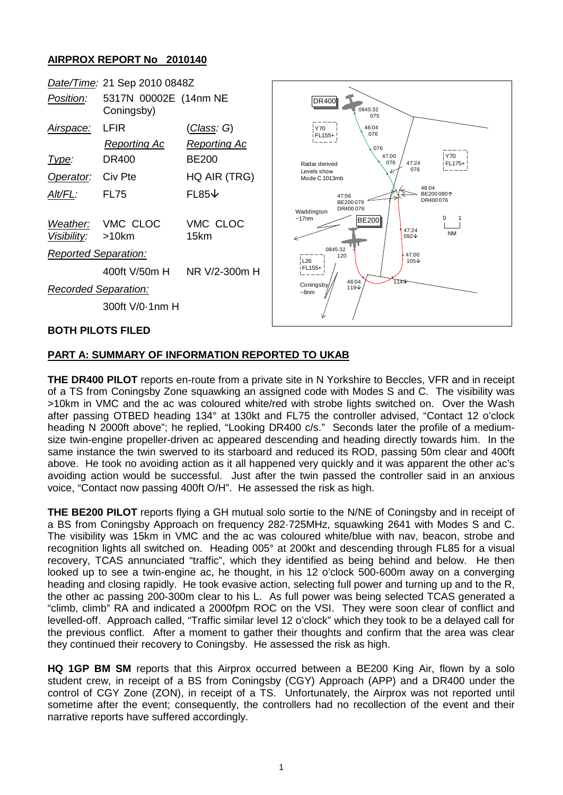## **AIRPROX REPORT No 2010140**



## **PART A: SUMMARY OF INFORMATION REPORTED TO UKAB**

**THE DR400 PILOT** reports en-route from a private site in N Yorkshire to Beccles, VFR and in receipt of a TS from Coningsby Zone squawking an assigned code with Modes S and C. The visibility was >10km in VMC and the ac was coloured white/red with strobe lights switched on. Over the Wash after passing OTBED heading 134° at 130kt and FL75 the controller advised, "Contact 12 o'clock heading N 2000ft above"; he replied, "Looking DR400 c/s." Seconds later the profile of a mediumsize twin-engine propeller-driven ac appeared descending and heading directly towards him. In the same instance the twin swerved to its starboard and reduced its ROD, passing 50m clear and 400ft above. He took no avoiding action as it all happened very quickly and it was apparent the other ac's avoiding action would be successful. Just after the twin passed the controller said in an anxious voice, "Contact now passing 400ft O/H". He assessed the risk as high.

**THE BE200 PILOT** reports flying a GH mutual solo sortie to the N/NE of Coningsby and in receipt of a BS from Coningsby Approach on frequency 282·725MHz, squawking 2641 with Modes S and C. The visibility was 15km in VMC and the ac was coloured white/blue with nav, beacon, strobe and recognition lights all switched on. Heading 005° at 200kt and descending through FL85 for a visual recovery, TCAS annunciated "traffic", which they identified as being behind and below. He then looked up to see a twin-engine ac, he thought, in his 12 o'clock 500-600m away on a converging heading and closing rapidly. He took evasive action, selecting full power and turning up and to the R, the other ac passing 200-300m clear to his L. As full power was being selected TCAS generated a "climb, climb" RA and indicated a 2000fpm ROC on the VSI. They were soon clear of conflict and levelled-off. Approach called, "Traffic similar level 12 o'clock" which they took to be a delayed call for the previous conflict. After a moment to gather their thoughts and confirm that the area was clear they continued their recovery to Coningsby. He assessed the risk as high.

**HQ 1GP BM SM** reports that this Airprox occurred between a BE200 King Air, flown by a solo student crew, in receipt of a BS from Coningsby (CGY) Approach (APP) and a DR400 under the control of CGY Zone (ZON), in receipt of a TS. Unfortunately, the Airprox was not reported until sometime after the event; consequently, the controllers had no recollection of the event and their narrative reports have suffered accordingly.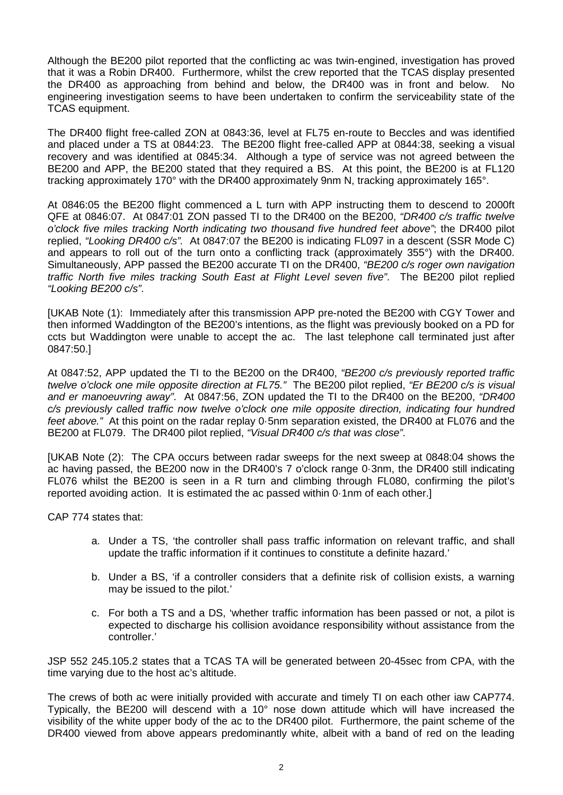Although the BE200 pilot reported that the conflicting ac was twin-engined, investigation has proved that it was a Robin DR400. Furthermore, whilst the crew reported that the TCAS display presented the DR400 as approaching from behind and below, the DR400 was in front and below. No engineering investigation seems to have been undertaken to confirm the serviceability state of the TCAS equipment.

The DR400 flight free-called ZON at 0843:36, level at FL75 en-route to Beccles and was identified and placed under a TS at 0844:23. The BE200 flight free-called APP at 0844:38, seeking a visual recovery and was identified at 0845:34. Although a type of service was not agreed between the BE200 and APP, the BE200 stated that they required a BS. At this point, the BE200 is at FL120 tracking approximately 170° with the DR400 approximately 9nm N, tracking approximately 165°.

At 0846:05 the BE200 flight commenced a L turn with APP instructing them to descend to 2000ft QFE at 0846:07. At 0847:01 ZON passed TI to the DR400 on the BE200, *"DR400 c/s traffic twelve o'clock five miles tracking North indicating two thousand five hundred feet above"*; the DR400 pilot replied, *"Looking DR400 c/s".* At 0847:07 the BE200 is indicating FL097 in a descent (SSR Mode C) and appears to roll out of the turn onto a conflicting track (approximately 355°) with the DR400. Simultaneously, APP passed the BE200 accurate TI on the DR400, *"BE200 c/s roger own navigation traffic North five miles tracking South East at Flight Level seven five"*. The BE200 pilot replied *"Looking BE200 c/s"*.

[UKAB Note (1): Immediately after this transmission APP pre-noted the BE200 with CGY Tower and then informed Waddington of the BE200's intentions, as the flight was previously booked on a PD for ccts but Waddington were unable to accept the ac. The last telephone call terminated just after 0847:50.]

At 0847:52, APP updated the TI to the BE200 on the DR400, *"BE200 c/s previously reported traffic twelve o'clock one mile opposite direction at FL75."* The BE200 pilot replied, *"Er BE200 c/s is visual and er manoeuvring away"*. At 0847:56, ZON updated the TI to the DR400 on the BE200, *"DR400 c/s previously called traffic now twelve o'clock one mile opposite direction, indicating four hundred feet above."* At this point on the radar replay 0·5nm separation existed, the DR400 at FL076 and the BE200 at FL079. The DR400 pilot replied, *"Visual DR400 c/s that was close"*.

[UKAB Note (2): The CPA occurs between radar sweeps for the next sweep at 0848:04 shows the ac having passed, the BE200 now in the DR400's 7 o'clock range 0·3nm, the DR400 still indicating FL076 whilst the BE200 is seen in a R turn and climbing through FL080, confirming the pilot's reported avoiding action. It is estimated the ac passed within 0·1nm of each other.]

CAP 774 states that:

- a. Under a TS, 'the controller shall pass traffic information on relevant traffic, and shall update the traffic information if it continues to constitute a definite hazard.'
- b. Under a BS, 'if a controller considers that a definite risk of collision exists, a warning may be issued to the pilot.'
- c. For both a TS and a DS, 'whether traffic information has been passed or not, a pilot is expected to discharge his collision avoidance responsibility without assistance from the controller.'

JSP 552 245.105.2 states that a TCAS TA will be generated between 20-45sec from CPA, with the time varying due to the host ac's altitude.

The crews of both ac were initially provided with accurate and timely TI on each other iaw CAP774. Typically, the BE200 will descend with a 10° nose down attitude which will have increased the visibility of the white upper body of the ac to the DR400 pilot. Furthermore, the paint scheme of the DR400 viewed from above appears predominantly white, albeit with a band of red on the leading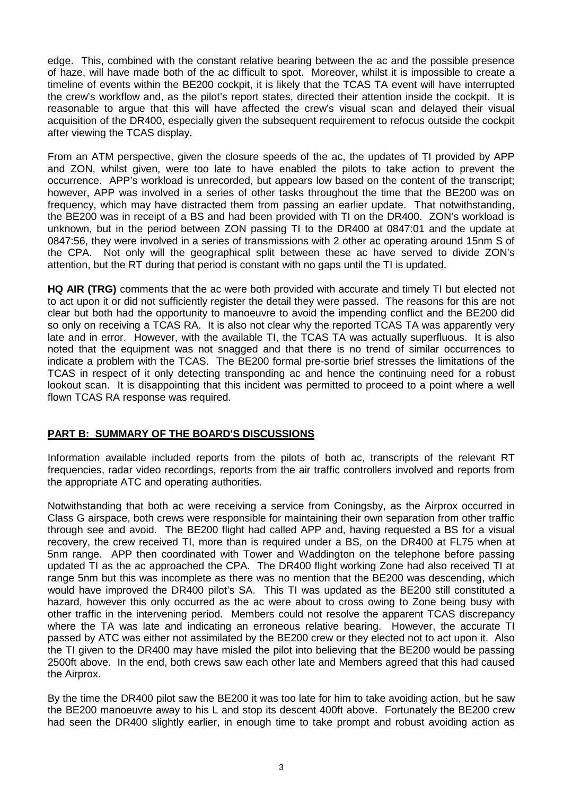edge. This, combined with the constant relative bearing between the ac and the possible presence of haze, will have made both of the ac difficult to spot. Moreover, whilst it is impossible to create a timeline of events within the BE200 cockpit, it is likely that the TCAS TA event will have interrupted the crew's workflow and, as the pilot's report states, directed their attention inside the cockpit. It is reasonable to argue that this will have affected the crew's visual scan and delayed their visual acquisition of the DR400, especially given the subsequent requirement to refocus outside the cockpit after viewing the TCAS display.

From an ATM perspective, given the closure speeds of the ac, the updates of TI provided by APP and ZON, whilst given, were too late to have enabled the pilots to take action to prevent the occurrence. APP's workload is unrecorded, but appears low based on the content of the transcript; however, APP was involved in a series of other tasks throughout the time that the BE200 was on frequency, which may have distracted them from passing an earlier update. That notwithstanding, the BE200 was in receipt of a BS and had been provided with TI on the DR400. ZON's workload is unknown, but in the period between ZON passing TI to the DR400 at 0847:01 and the update at 0847:56, they were involved in a series of transmissions with 2 other ac operating around 15nm S of the CPA. Not only will the geographical split between these ac have served to divide ZON's attention, but the RT during that period is constant with no gaps until the TI is updated.

**HQ AIR (TRG)** comments that the ac were both provided with accurate and timely TI but elected not to act upon it or did not sufficiently register the detail they were passed. The reasons for this are not clear but both had the opportunity to manoeuvre to avoid the impending conflict and the BE200 did so only on receiving a TCAS RA. It is also not clear why the reported TCAS TA was apparently very late and in error. However, with the available TI, the TCAS TA was actually superfluous. It is also noted that the equipment was not snagged and that there is no trend of similar occurrences to indicate a problem with the TCAS. The BE200 formal pre-sortie brief stresses the limitations of the TCAS in respect of it only detecting transponding ac and hence the continuing need for a robust lookout scan. It is disappointing that this incident was permitted to proceed to a point where a well flown TCAS RA response was required.

## **PART B: SUMMARY OF THE BOARD'S DISCUSSIONS**

Information available included reports from the pilots of both ac, transcripts of the relevant RT frequencies, radar video recordings, reports from the air traffic controllers involved and reports from the appropriate ATC and operating authorities.

Notwithstanding that both ac were receiving a service from Coningsby, as the Airprox occurred in Class G airspace, both crews were responsible for maintaining their own separation from other traffic through see and avoid. The BE200 flight had called APP and, having requested a BS for a visual recovery, the crew received TI, more than is required under a BS, on the DR400 at FL75 when at 5nm range. APP then coordinated with Tower and Waddington on the telephone before passing updated TI as the ac approached the CPA. The DR400 flight working Zone had also received TI at range 5nm but this was incomplete as there was no mention that the BE200 was descending, which would have improved the DR400 pilot's SA. This TI was updated as the BE200 still constituted a hazard, however this only occurred as the ac were about to cross owing to Zone being busy with other traffic in the intervening period. Members could not resolve the apparent TCAS discrepancy where the TA was late and indicating an erroneous relative bearing. However, the accurate TI passed by ATC was either not assimilated by the BE200 crew or they elected not to act upon it. Also the TI given to the DR400 may have misled the pilot into believing that the BE200 would be passing 2500ft above. In the end, both crews saw each other late and Members agreed that this had caused the Airprox.

By the time the DR400 pilot saw the BE200 it was too late for him to take avoiding action, but he saw the BE200 manoeuvre away to his L and stop its descent 400ft above. Fortunately the BE200 crew had seen the DR400 slightly earlier, in enough time to take prompt and robust avoiding action as